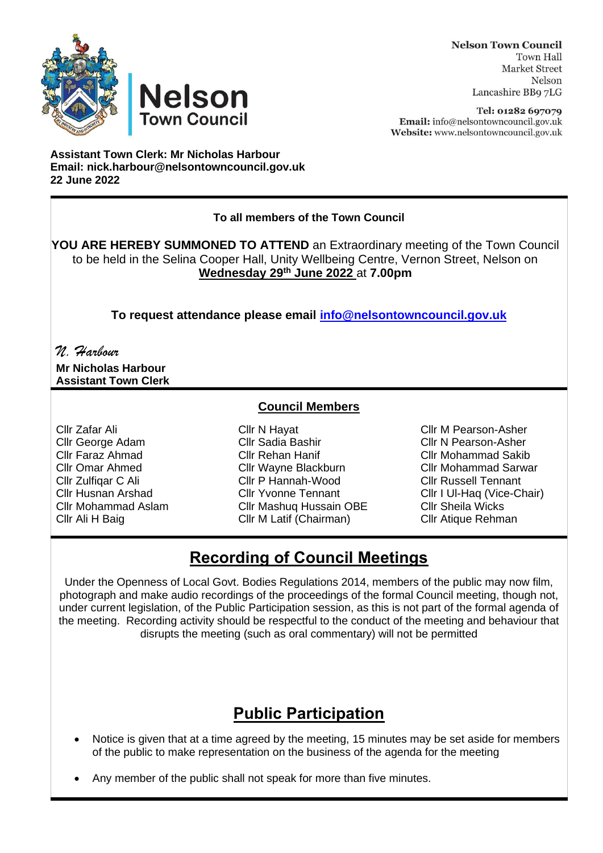



Tel: 01282 697079 Email: info@nelsontowncouncil.gov.uk Website: www.nelsontowncouncil.gov.uk

**Assistant Town Clerk: Mr Nicholas Harbour Email: nick.harbour@nelsontowncouncil.gov.uk 22 June 2022**

**Nelson** 

**Town Council** 

#### **To all members of the Town Council**

**YOU ARE HEREBY SUMMONED TO ATTEND** an Extraordinary meeting of the Town Council to be held in the Selina Cooper Hall, Unity Wellbeing Centre, Vernon Street, Nelson on **Wednesday 29th June 2022** at **7.00pm**

**To request attendance please email [info@nelsontowncouncil.gov.uk](mailto:info@nelsontowncouncil.gov.uk)**

# *N. Harbour*

**Mr Nicholas Harbour Assistant Town Clerk**

### **Council Members**

Cllr Zafar Ali Cllr N Hayat Cllr M Pearson-Asher Cllr George Adam Cllr Sadia Bashir Cllr N Pearson-Asher Cllr Faraz Ahmad Cllr Rehan Hanif Cllr Mohammad Sakib Cllr Omar Ahmed Cllr Wayne Blackburn Cllr Mohammad Sarwar Cllr Zulfiqar C Ali Cllr P Hannah-Wood Cllr Russell Tennant Cllr Husnan Arshad Cllr Yvonne Tennant Cllr I Ul-Haq (Vice-Chair) Cllr Mohammad Aslam Cllr Mashuq Hussain OBE Cllr Sheila Wicks Cllr Ali H Baig Cllr M Latif (Chairman) Cllr Atique Rehman

## **Recording of Council Meetings**

Under the Openness of Local Govt. Bodies Regulations 2014, members of the public may now film, photograph and make audio recordings of the proceedings of the formal Council meeting, though not, under current legislation, of the Public Participation session, as this is not part of the formal agenda of the meeting. Recording activity should be respectful to the conduct of the meeting and behaviour that disrupts the meeting (such as oral commentary) will not be permitted

## **Public Participation**

- Notice is given that at a time agreed by the meeting, 15 minutes may be set aside for members of the public to make representation on the business of the agenda for the meeting
- Any member of the public shall not speak for more than five minutes.